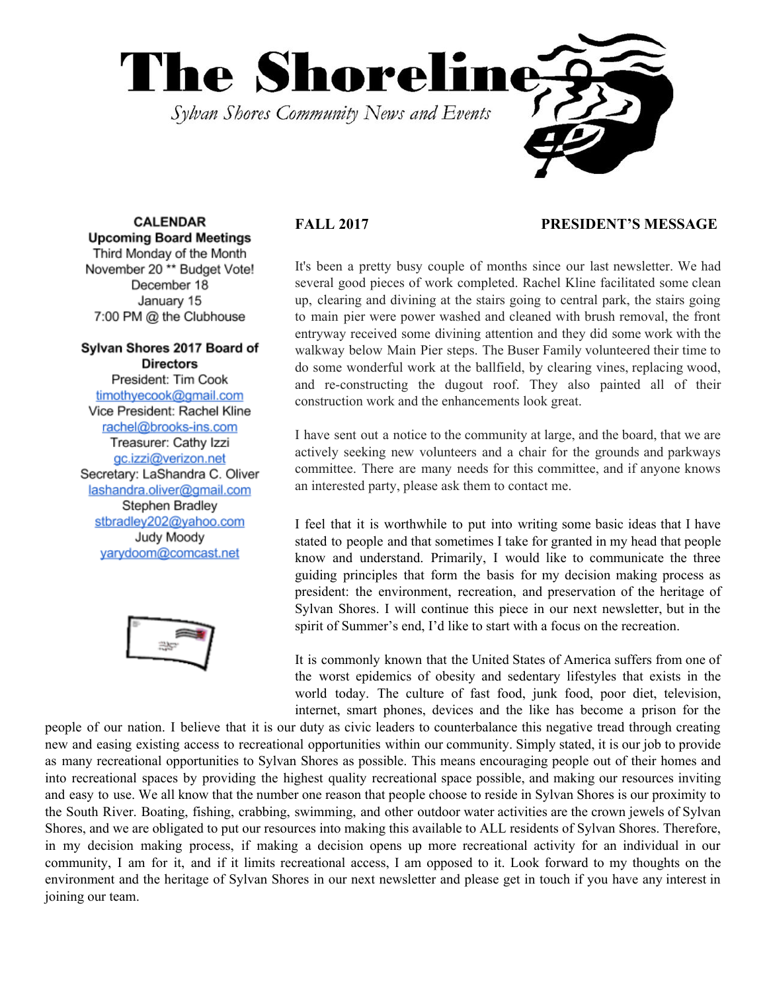

**CALENDAR Upcoming Board Meetings** Third Monday of the Month November 20<sup>\*\*</sup> Budget Vote! December 18 January 15 7:00 PM @ the Clubhouse

## Sylvan Shores 2017 Board of **Directors**

President: Tim Cook timothyecook@gmail.com Vice President: Rachel Kline rachel@brooks-ins.com Treasurer: Cathy Izzi gc.izzi@verizon.net Secretary: LaShandra C. Oliver lashandra.oliver@gmail.com Stephen Bradley stbradley202@yahoo.com Judy Moody yarydoom@comcast.net



## **FALL 2017 PRESIDENT'S MESSAGE**

It's been a pretty busy couple of months since our last newsletter. We had several good pieces of work completed. Rachel Kline facilitated some clean up, clearing and divining at the stairs going to central park, the stairs going to main pier were power washed and cleaned with brush removal, the front entryway received some divining attention and they did some work with the walkway below Main Pier steps. The Buser Family volunteered their time to do some wonderful work at the ballfield, by clearing vines, replacing wood, and re-constructing the dugout roof. They also painted all of their construction work and the enhancements look great.

I have sent out a notice to the community at large, and the board, that we are actively seeking new volunteers and a chair for the grounds and parkways committee. There are many needs for this committee, and if anyone knows an interested party, please ask them to contact me.

I feel that it is worthwhile to put into writing some basic ideas that I have stated to people and that sometimes I take for granted in my head that people know and understand. Primarily, I would like to communicate the three guiding principles that form the basis for my decision making process as president: the environment, recreation, and preservation of the heritage of Sylvan Shores. I will continue this piece in our next newsletter, but in the spirit of Summer's end, I'd like to start with a focus on the recreation.

It is commonly known that the United States of America suffers from one of the worst epidemics of obesity and sedentary lifestyles that exists in the world today. The culture of fast food, junk food, poor diet, television, internet, smart phones, devices and the like has become a prison for the

people of our nation. I believe that it is our duty as civic leaders to counterbalance this negative tread through creating new and easing existing access to recreational opportunities within our community. Simply stated, it is our job to provide as many recreational opportunities to Sylvan Shores as possible. This means encouraging people out of their homes and into recreational spaces by providing the highest quality recreational space possible, and making our resources inviting and easy to use. We all know that the number one reason that people choose to reside in Sylvan Shores is our proximity to the South River. Boating, fishing, crabbing, swimming, and other outdoor water activities are the crown jewels of Sylvan Shores, and we are obligated to put our resources into making this available to ALL residents of Sylvan Shores. Therefore, in my decision making process, if making a decision opens up more recreational activity for an individual in our community, I am for it, and if it limits recreational access, I am opposed to it. Look forward to my thoughts on the environment and the heritage of Sylvan Shores in our next newsletter and please get in touch if you have any interest in joining our team.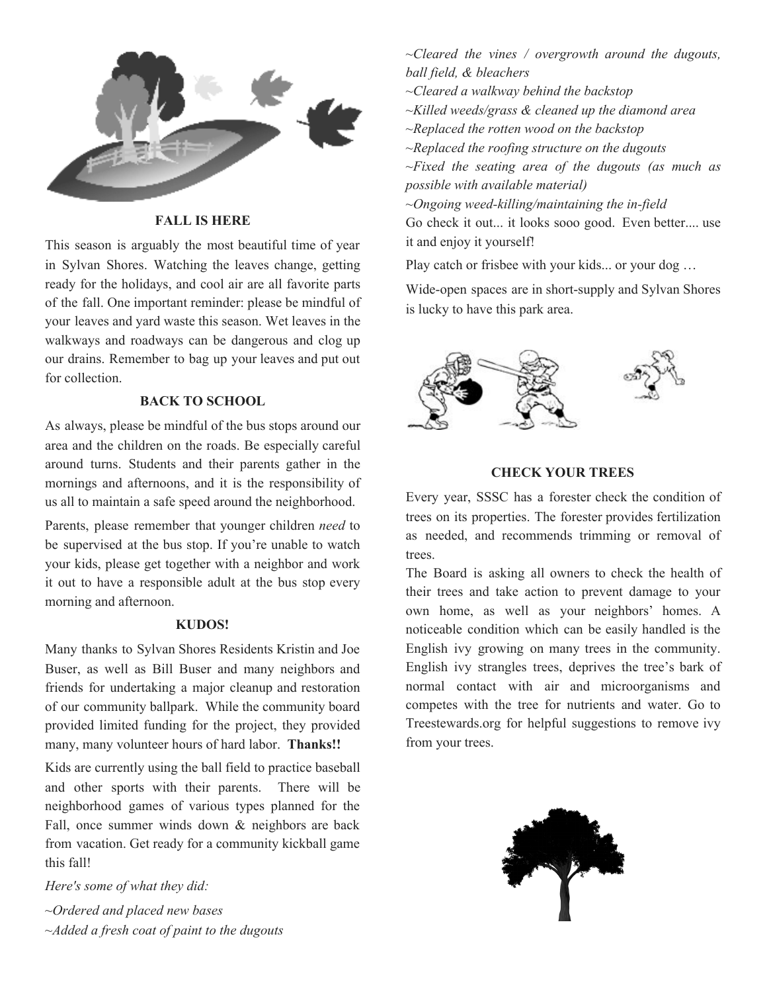

## **FALL IS HERE**

This season is arguably the most beautiful time of year in Sylvan Shores. Watching the leaves change, getting ready for the holidays, and cool air are all favorite parts of the fall. One important reminder: please be mindful of your leaves and yard waste this season. Wet leaves in the walkways and roadways can be dangerous and clog up our drains. Remember to bag up your leaves and put out for collection.

## **BACK TO SCHOOL**

As always, please be mindful of the bus stops around our area and the children on the roads. Be especially careful around turns. Students and their parents gather in the mornings and afternoons, and it is the responsibility of us all to maintain a safe speed around the neighborhood.

Parents, please remember that younger children *need* to be supervised at the bus stop. If you're unable to watch your kids, please get together with a neighbor and work it out to have a responsible adult at the bus stop every morning and afternoon.

#### **KUDOS!**

Many thanks to Sylvan Shores Residents Kristin and Joe Buser, as well as Bill Buser and many neighbors and friends for undertaking a major cleanup and restoration of our community ballpark. While the community board provided limited funding for the project, they provided many, many volunteer hours of hard labor. **Thanks!!**

Kids are currently using the ball field to practice baseball and other sports with their parents. There will be neighborhood games of various types planned for the Fall, once summer winds down & neighbors are back from vacation. Get ready for a community kickball game this fall!

*Here's some of what they did:*

*~Ordered and placed new bases ~Added a fresh coat of paint to the dugouts* *~Cleared the vines / overgrowth around the dugouts, ball field, & bleachers*

- *~Cleared a walkway behind the backstop*
- *~Killed weeds/grass & cleaned up the diamond area*
- *~Replaced the rotten wood on the backstop*

*~Replaced the roofing structure on the dugouts ~Fixed the seating area of the dugouts (as much as possible with available material)*

*~Ongoing weed-killing/maintaining the in-field*

Go check it out... it looks sooo good. Even better.... use it and enjoy it yourself!

Play catch or frisbee with your kids... or your dog …

Wide-open spaces are in short-supply and Sylvan Shores is lucky to have this park area.



## **CHECK YOUR TREES**

Every year, SSSC has a forester check the condition of trees on its properties. The forester provides fertilization as needed, and recommends trimming or removal of trees.

The Board is asking all owners to check the health of their trees and take action to prevent damage to your own home, as well as your neighbors' homes. A noticeable condition which can be easily handled is the English ivy growing on many trees in the community. English ivy strangles trees, deprives the tree's bark of normal contact with air and microorganisms and competes with the tree for nutrients and water. Go to Treestewards.org for helpful suggestions to remove ivy from your trees.

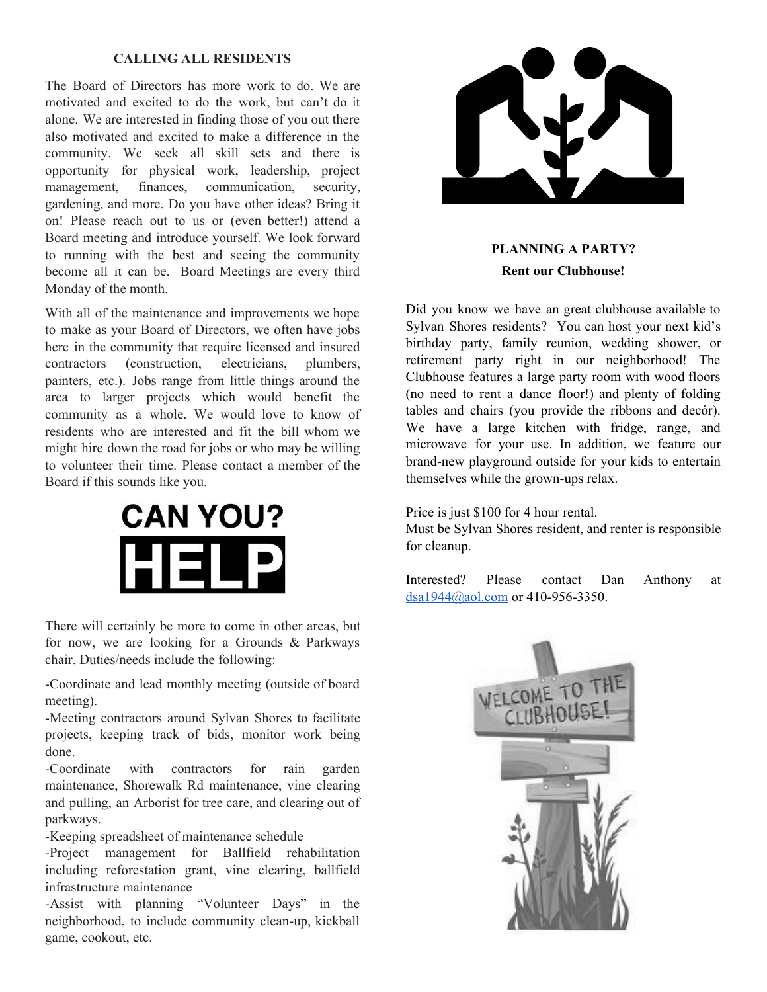## **CALLING ALL RESIDENTS**

The Board of Directors has more work to do. We are motivated and excited to do the work, but can't do it alone. We are interested in finding those of you out there also motivated and excited to make a difference in the community. We seek all skill sets and there is opportunity for physical work, leadership, project management, finances, communication, security, gardening, and more. Do you have other ideas? Bring it on! Please reach out to us or (even better!) attend a Board meeting and introduce yourself. We look forward to running with the best and seeing the community become all it can be. Board Meetings are every third Monday of the month.

With all of the maintenance and improvements we hope to make as your Board of Directors, we often have jobs here in the community that require licensed and insured contractors (construction, electricians, plumbers, painters, etc.). Jobs range from little things around the area to larger projects which would benefit the community as a whole. We would love to know of residents who are interested and fit the bill whom we might hire down the road for jobs or who may be willing to volunteer their time. Please contact a member of the Board if this sounds like you.



There will certainly be more to come in other areas, but for now, we are looking for a Grounds & Parkways chair. Duties/needs include the following:

-Coordinate and lead monthly meeting (outside of board meeting).

-Meeting contractors around Sylvan Shores to facilitate projects, keeping track of bids, monitor work being done.

-Coordinate with contractors for rain garden maintenance, Shorewalk Rd maintenance, vine clearing and pulling, an Arborist for tree care, and clearing out of parkways.

-Keeping spreadsheet of maintenance schedule

-Project management for Ballfield rehabilitation including reforestation grant, vine clearing, ballfield infrastructure maintenance

-Assist with planning "Volunteer Days" in the neighborhood, to include community clean-up, kickball game, cookout, etc.



# **PLANNING A PARTY? Rent our Clubhouse!**

Did you know we have an great clubhouse available to Sylvan Shores residents? You can host your next kid's birthday party, family reunion, wedding shower, or retirement party right in our neighborhood! The Clubhouse features a large party room with wood floors (no need to rent a dance floor!) and plenty of folding tables and chairs (you provide the ribbons and decór). We have a large kitchen with fridge, range, and microwave for your use. In addition, we feature our brand-new playground outside for your kids to entertain themselves while the grown-ups relax.

Price is just \$100 for 4 hour rental.

Must be Sylvan Shores resident, and renter is responsible for cleanup.

Interested? Please contact Dan Anthony at [dsa1944@aol.com](mailto:dsa1944@aol.com) or 410-956-3350.

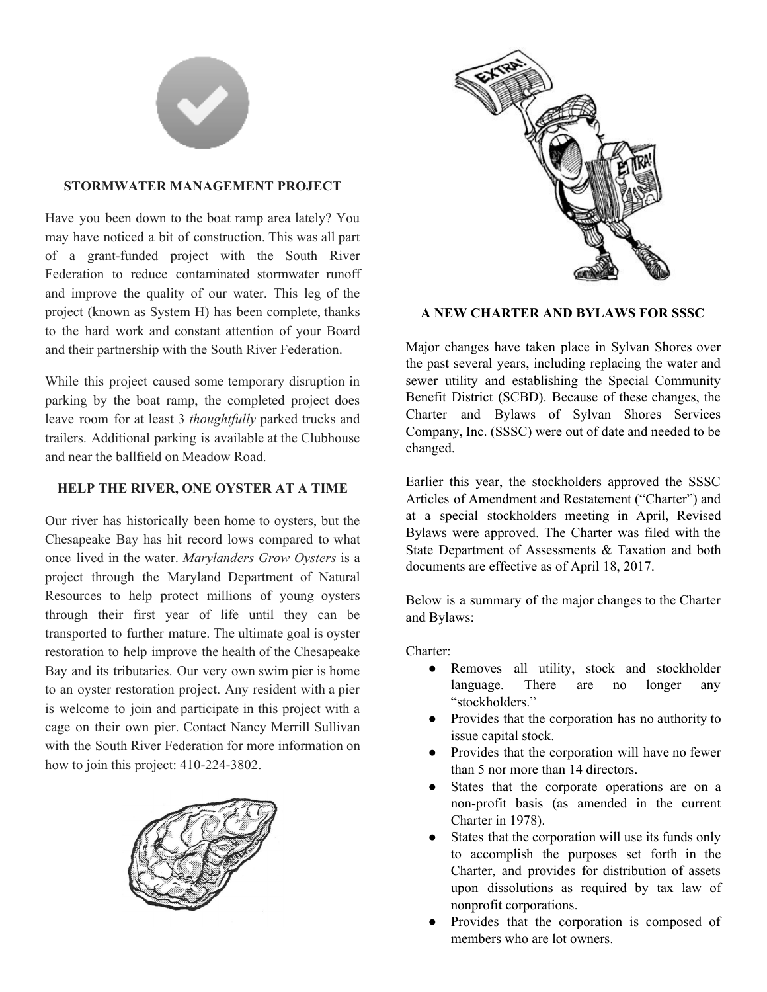

## **STORMWATER MANAGEMENT PROJECT**

Have you been down to the boat ramp area lately? You may have noticed a bit of construction. This was all part of a grant-funded project with the South River Federation to reduce contaminated stormwater runoff and improve the quality of our water. This leg of the project (known as System H) has been complete, thanks to the hard work and constant attention of your Board and their partnership with the South River Federation.

While this project caused some temporary disruption in parking by the boat ramp, the completed project does leave room for at least 3 *thoughtfully* parked trucks and trailers. Additional parking is available at the Clubhouse and near the ballfield on Meadow Road.

## **HELP THE RIVER, ONE OYSTER AT A TIME**

Our river has historically been home to oysters, but the Chesapeake Bay has hit record lows compared to what once lived in the water. *Marylanders Grow Oysters* is a project through the Maryland Department of Natural Resources to help protect millions of young oysters through their first year of life until they can be transported to further mature. The ultimate goal is oyster restoration to help improve the health of the Chesapeake Bay and its tributaries. Our very own swim pier is home to an oyster restoration project. Any resident with a pier is welcome to join and participate in this project with a cage on their own pier. Contact Nancy Merrill Sullivan with the South River Federation for more information on how to join this project: 410-224-3802.





## **A NEW CHARTER AND BYLAWS FOR SSSC**

Major changes have taken place in Sylvan Shores over the past several years, including replacing the water and sewer utility and establishing the Special Community Benefit District (SCBD). Because of these changes, the Charter and Bylaws of Sylvan Shores Services Company, Inc. (SSSC) were out of date and needed to be changed.

Earlier this year, the stockholders approved the SSSC Articles of Amendment and Restatement ("Charter") and at a special stockholders meeting in April, Revised Bylaws were approved. The Charter was filed with the State Department of Assessments & Taxation and both documents are effective as of April 18, 2017.

Below is a summary of the major changes to the Charter and Bylaws:

Charter:

- Removes all utility, stock and stockholder language. There are no longer any "stockholders."
- Provides that the corporation has no authority to issue capital stock.
- Provides that the corporation will have no fewer than 5 nor more than 14 directors.
- States that the corporate operations are on a non-profit basis (as amended in the current Charter in 1978).
- States that the corporation will use its funds only to accomplish the purposes set forth in the Charter, and provides for distribution of assets upon dissolutions as required by tax law of nonprofit corporations.
- Provides that the corporation is composed of members who are lot owners.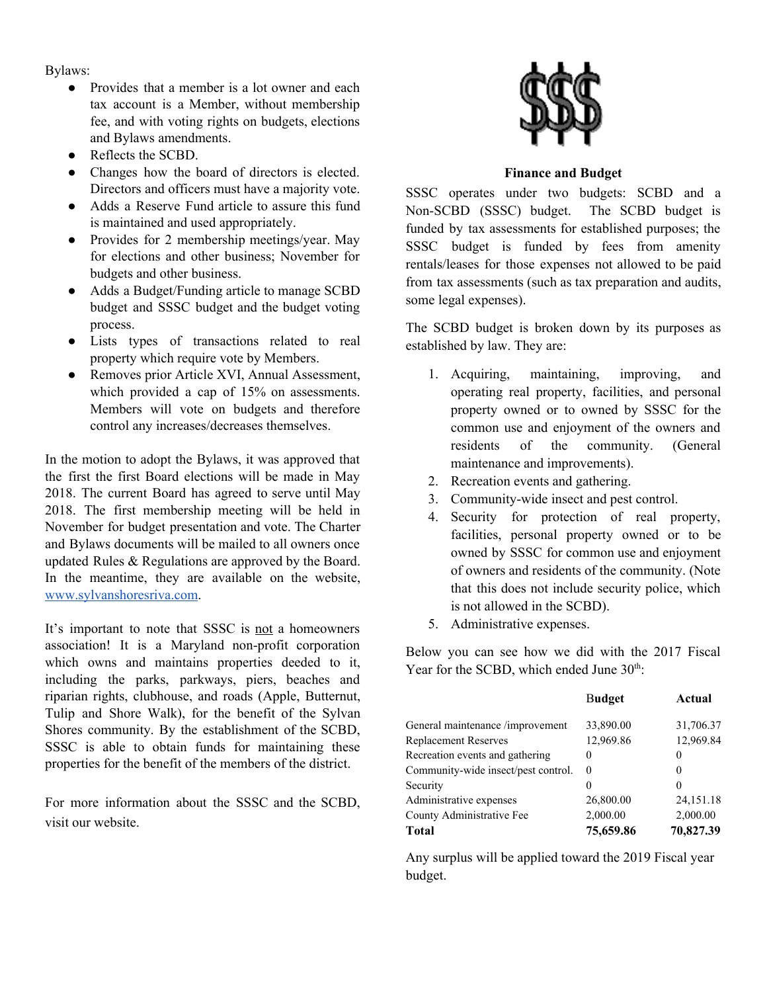Bylaws:

- Provides that a member is a lot owner and each tax account is a Member, without membership fee, and with voting rights on budgets, elections and Bylaws amendments.
- Reflects the SCBD.
- Changes how the board of directors is elected. Directors and officers must have a majority vote.
- Adds a Reserve Fund article to assure this fund is maintained and used appropriately.
- Provides for 2 membership meetings/year. May for elections and other business; November for budgets and other business.
- Adds a Budget/Funding article to manage SCBD budget and SSSC budget and the budget voting process.
- Lists types of transactions related to real property which require vote by Members.
- Removes prior Article XVI, Annual Assessment, which provided a cap of 15% on assessments. Members will vote on budgets and therefore control any increases/decreases themselves.

In the motion to adopt the Bylaws, it was approved that the first the first Board elections will be made in May 2018. The current Board has agreed to serve until May 2018. The first membership meeting will be held in November for budget presentation and vote. The Charter and Bylaws documents will be mailed to all owners once updated Rules & Regulations are approved by the Board. In the meantime, they are available on the website, [www.sylvanshoresriva.com](http://www.sylvanshoresriva.com/).

It's important to note that SSSC is not a homeowners association! It is a Maryland non-profit corporation which owns and maintains properties deeded to it, including the parks, parkways, piers, beaches and riparian rights, clubhouse, and roads (Apple, Butternut, Tulip and Shore Walk), for the benefit of the Sylvan Shores community. By the establishment of the SCBD, SSSC is able to obtain funds for maintaining these properties for the benefit of the members of the district.

For more information about the SSSC and the SCBD, visit our website.



## **Finance and Budget**

SSSC operates under two budgets: SCBD and a Non-SCBD (SSSC) budget. The SCBD budget is funded by tax assessments for established purposes; the SSSC budget is funded by fees from amenity rentals/leases for those expenses not allowed to be paid from tax assessments (such as tax preparation and audits, some legal expenses).

The SCBD budget is broken down by its purposes as established by law. They are:

- 1. Acquiring, maintaining, improving, and operating real property, facilities, and personal property owned or to owned by SSSC for the common use and enjoyment of the owners and residents of the community. (General maintenance and improvements).
- 2. Recreation events and gathering.
- 3. Community-wide insect and pest control.
- 4. Security for protection of real property, facilities, personal property owned or to be owned by SSSC for common use and enjoyment of owners and residents of the community. (Note that this does not include security police, which is not allowed in the SCBD).
- 5. Administrative expenses.

Below you can see how we did with the 2017 Fiscal Year for the SCBD, which ended June 30<sup>th</sup>:

|                                     | <b>Budget</b> | Actual      |
|-------------------------------------|---------------|-------------|
| General maintenance /improvement    | 33,890.00     | 31,706.37   |
| <b>Replacement Reserves</b>         | 12,969.86     | 12,969.84   |
| Recreation events and gathering     | 0             | 0           |
| Community-wide insect/pest control. | 0             | 0           |
| Security                            |               | 0           |
| Administrative expenses             | 26,800.00     | 24, 151. 18 |
| County Administrative Fee           | 2,000.00      | 2,000.00    |
| <b>Total</b>                        | 75,659.86     | 70,827.39   |

Any surplus will be applied toward the 2019 Fiscal year budget.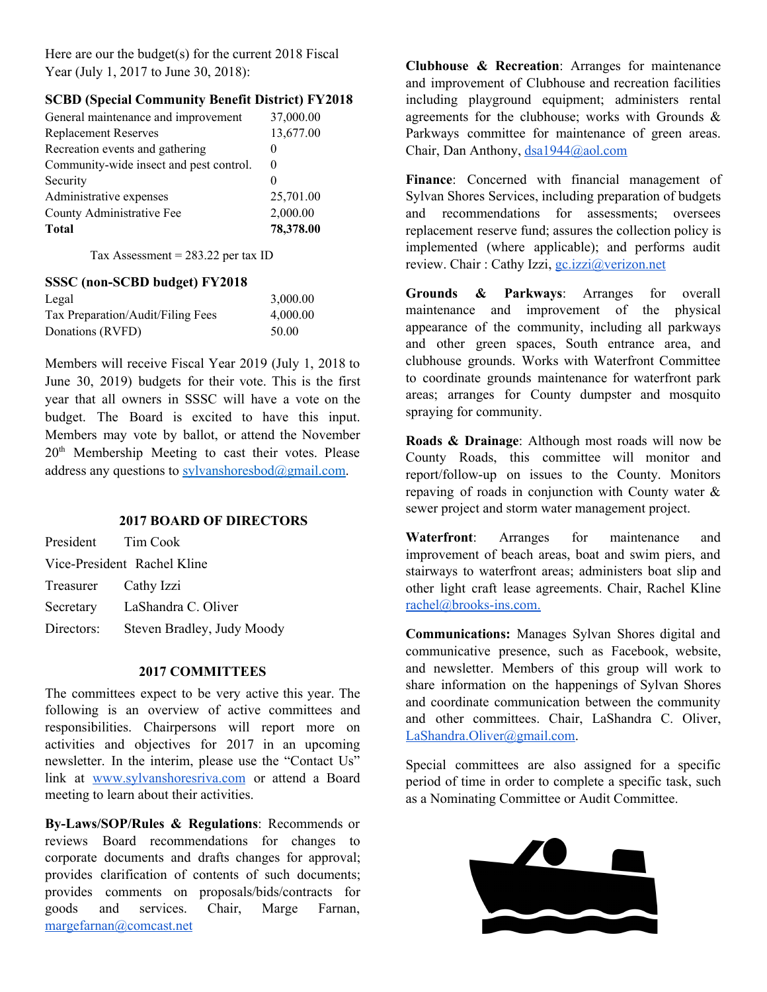Here are our the budget(s) for the current 2018 Fiscal Year (July 1, 2017 to June 30, 2018):

## **SCBD (Special Community Benefit District) FY2018**

| General maintenance and improvement     | 37,000.00 |
|-----------------------------------------|-----------|
| <b>Replacement Reserves</b>             | 13,677.00 |
| Recreation events and gathering         | 0         |
| Community-wide insect and pest control. | $\theta$  |
| Security                                |           |
| Administrative expenses                 | 25,701.00 |
| County Administrative Fee               | 2,000.00  |
| <b>Total</b>                            | 78,378.00 |
|                                         |           |

Tax Assessment =  $283.22$  per tax ID

#### **SSSC (non-SCBD budget) FY2018**

| Legal                             | 3,000.00 |
|-----------------------------------|----------|
| Tax Preparation/Audit/Filing Fees | 4,000.00 |
| Donations (RVFD)                  | 50.00    |

Members will receive Fiscal Year 2019 (July 1, 2018 to June 30, 2019) budgets for their vote. This is the first year that all owners in SSSC will have a vote on the budget. The Board is excited to have this input. Members may vote by ballot, or attend the November 20<sup>th</sup> Membership Meeting to cast their votes. Please address any questions to sylvanshoresbod $@g$ gmail.com.

## **2017 BOARD OF DIRECTORS**

| President Tim Cook          |                                       |  |
|-----------------------------|---------------------------------------|--|
| Vice-President Rachel Kline |                                       |  |
| Treasurer Cathy Izzi        |                                       |  |
|                             | Secretary LaShandra C. Oliver         |  |
|                             | Directors: Steven Bradley, Judy Moody |  |

### **2017 COMMITTEES**

The committees expect to be very active this year. The following is an overview of active committees and responsibilities. Chairpersons will report more on activities and objectives for 2017 in an upcoming newsletter. In the interim, please use the "Contact Us" link at [www.sylvanshoresriva.com](http://www.sylvanshoresriva.com/) or attend a Board meeting to learn about their activities.

**By-Laws/SOP/Rules & Regulations**: Recommends or reviews Board recommendations for changes to corporate documents and drafts changes for approval; provides clarification of contents of such documents; provides comments on proposals/bids/contracts for goods and services. Chair, Marge Farnan, [margefarnan@comcast.net](mailto:margefarnan@comcast.net)

**Clubhouse & Recreation**: Arranges for maintenance and improvement of Clubhouse and recreation facilities including playground equipment; administers rental agreements for the clubhouse; works with Grounds  $\&$ Parkways committee for maintenance of green areas. Chair, Dan Anthony, [dsa1944@aol.com](mailto:dsa1944@aol.com)

**Finance**: Concerned with financial management of Sylvan Shores Services, including preparation of budgets and recommendations for assessments; oversees replacement reserve fund; assures the collection policy is implemented (where applicable); and performs audit review. Chair : Cathy Izzi, gc.izzi@verizon.net

**Grounds & Parkways**: Arranges for overall maintenance and improvement of the physical appearance of the community, including all parkways and other green spaces, South entrance area, and clubhouse grounds. Works with Waterfront Committee to coordinate grounds maintenance for waterfront park areas; arranges for County dumpster and mosquito spraying for community.

**Roads & Drainage**: Although most roads will now be County Roads, this committee will monitor and report/follow-up on issues to the County. Monitors repaving of roads in conjunction with County water & sewer project and storm water management project.

**Waterfront**: Arranges for maintenance and improvement of beach areas, boat and swim piers, and stairways to waterfront areas; administers boat slip and other light craft lease agreements. Chair, Rachel Kline [rachel@brooks-ins.com](mailto:rachel@brooks-ins.com).

**Communications:** Manages Sylvan Shores digital and communicative presence, such as Facebook, website, and newsletter. Members of this group will work to share information on the happenings of Sylvan Shores and coordinate communication between the community and other committees. Chair, LaShandra C. Oliver, [LaShandra.Oliver@gmail.com](mailto:LaShandra.Oliver@gmail.com).

Special committees are also assigned for a specific period of time in order to complete a specific task, such as a Nominating Committee or Audit Committee.

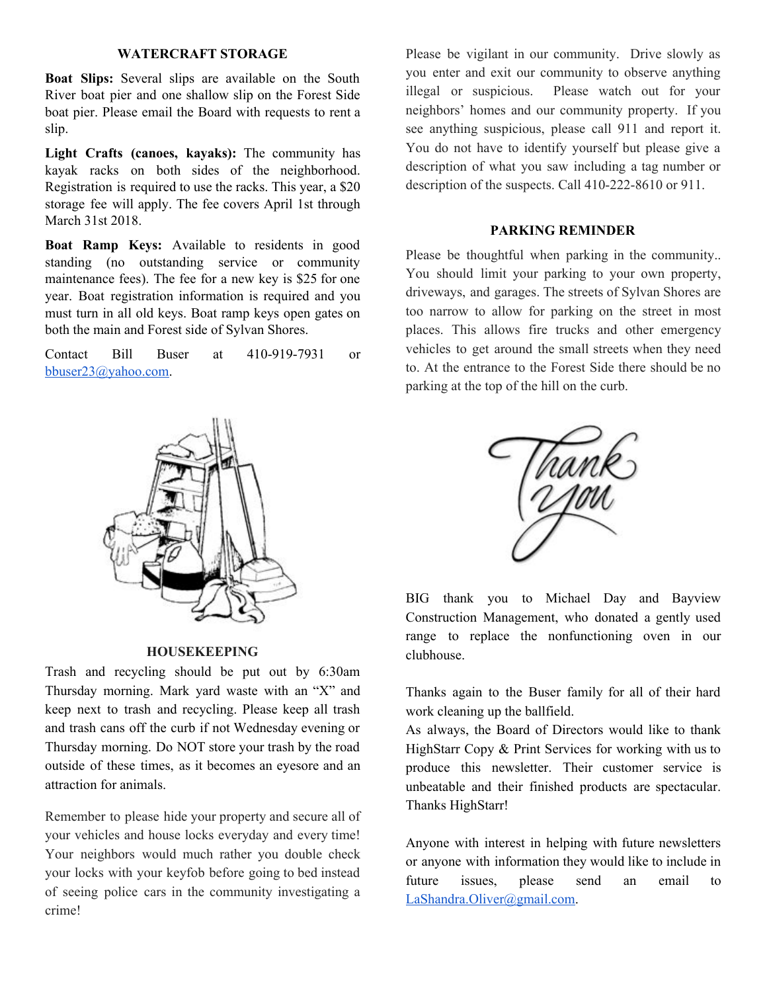#### **WATERCRAFT STORAGE**

**Boat Slips:** Several slips are available on the South River boat pier and one shallow slip on the Forest Side boat pier. Please email the Board with requests to rent a slip.

**Light Crafts (canoes, kayaks):** The community has kayak racks on both sides of the neighborhood. Registration is required to use the racks. This year, a \$20 storage fee will apply. The fee covers April 1st through March 31st 2018.

**Boat Ramp Keys:** Available to residents in good standing (no outstanding service or community maintenance fees). The fee for a new key is \$25 for one year. Boat registration information is required and you must turn in all old keys. Boat ramp keys open gates on both the main and Forest side of Sylvan Shores.

Contact Bill Buser at 410-919-7931 or [bbuser23@yahoo.com.](mailto:bbuser23@yahoo.com)



#### **HOUSEKEEPING**

Trash and recycling should be put out by 6:30am Thursday morning. Mark yard waste with an "X" and keep next to trash and recycling. Please keep all trash and trash cans off the curb if not Wednesday evening or Thursday morning. Do NOT store your trash by the road outside of these times, as it becomes an eyesore and an attraction for animals.

Remember to please hide your property and secure all of your vehicles and house locks everyday and every time! Your neighbors would much rather you double check your locks with your keyfob before going to bed instead of seeing police cars in the community investigating a crime!

Please be vigilant in our community. Drive slowly as you enter and exit our community to observe anything illegal or suspicious. Please watch out for your neighbors' homes and our community property. If you see anything suspicious, please call 911 and report it. You do not have to identify yourself but please give a description of what you saw including a tag number or description of the suspects. Call 410-222-8610 or 911.

#### **PARKING REMINDER**

Please be thoughtful when parking in the community.. You should limit your parking to your own property, driveways, and garages. The streets of Sylvan Shores are too narrow to allow for parking on the street in most places. This allows fire trucks and other emergency vehicles to get around the small streets when they need to. At the entrance to the Forest Side there should be no parking at the top of the hill on the curb.



BIG thank you to Michael Day and Bayview Construction Management, who donated a gently used range to replace the nonfunctioning oven in our clubhouse.

Thanks again to the Buser family for all of their hard work cleaning up the ballfield.

As always, the Board of Directors would like to thank HighStarr Copy & Print Services for working with us to produce this newsletter. Their customer service is unbeatable and their finished products are spectacular. Thanks HighStarr!

Anyone with interest in helping with future newsletters or anyone with information they would like to include in future issues, please send an email to [LaShandra.Oliver@gmail.com](mailto:LaShandra.Oliver@gmail.com).